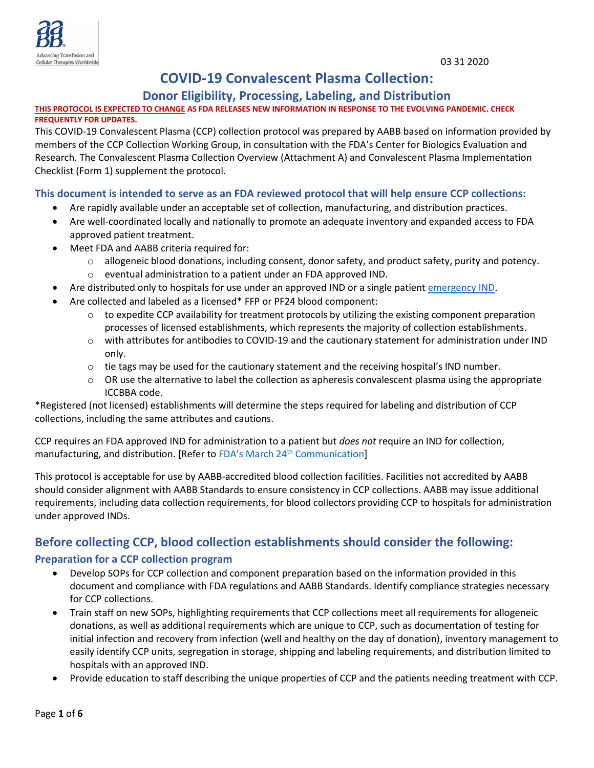# **COVID-19 Convalescent Plasma Collection:**

## **Donor Eligibility, Processing, Labeling, and Distribution**

#### **THIS PROTOCOL IS EXPECTED TO CHANGE AS FDA RELEASES NEW INFORMATION IN RESPONSE TO THE EVOLVING PANDEMIC. CHECK FREQUENTLY FOR UPDATES.**

This COVID-19 Convalescent Plasma (CCP) collection protocol was prepared by AABB based on information provided by members of the CCP Collection Working Group, in consultation with the FDA's Center for Biologics Evaluation and Research. The Convalescent Plasma Collection Overview (Attachment A) and Convalescent Plasma Implementation Checklist (Form 1) supplement the protocol.

## **This document is intended to serve as an FDA reviewed protocol that will help ensure CCP collections:**

- Are rapidly available under an acceptable set of collection, manufacturing, and distribution practices.
- Are well-coordinated locally and nationally to promote an adequate inventory and expanded access to FDA approved patient treatment.
- Meet FDA and AABB criteria required for:
	- $\circ$  allogeneic blood donations, including consent, donor safety, and product safety, purity and potency.
	- o eventual administration to a patient under an FDA approved IND.
- Are distributed only to hospitals for use under an approved IND or a single patient [emergency IND.](https://www.fda.gov/vaccines-blood-biologics/investigational-new-drug-ind-or-device-exemption-ide-process-cber/investigational-covid-19-convalescent-plasma-emergency-inds)
- Are collected and labeled as a licensed\* FFP or PF24 blood component:
	- $\circ$  to expedite CCP availability for treatment protocols by utilizing the existing component preparation processes of licensed establishments, which represents the majority of collection establishments.
	- o with attributes for antibodies to COVID-19 and the cautionary statement for administration under IND only.
	- $\circ$  tie tags may be used for the cautionary statement and the receiving hospital's IND number.
	- $\circ$  OR use the alternative to label the collection as apheresis convalescent plasma using the appropriate ICCBBA code.

\*Registered (not licensed) establishments will determine the steps required for labeling and distribution of CCP collections, including the same attributes and cautions.

CCP requires an FDA approved IND for administration to a patient but *does not* require an IND for collection, manufacturing, and distribution. [Refer to FDA's March 24<sup>th</sup> [Communication\]](https://www.fda.gov/vaccines-blood-biologics/investigational-new-drug-ind-or-device-exemption-ide-process-cber/investigational-covid-19-convalescent-plasma-emergency-inds)

This protocol is acceptable for use by AABB-accredited blood collection facilities. Facilities not accredited by AABB should consider alignment with AABB Standards to ensure consistency in CCP collections. AABB may issue additional requirements, including data collection requirements, for blood collectors providing CCP to hospitals for administration under approved INDs.

# **Before collecting CCP, blood collection establishments should consider the following:**

### **Preparation for a CCP collection program**

- Develop SOPs for CCP collection and component preparation based on the information provided in this document and compliance with FDA regulations and AABB Standards. Identify compliance strategies necessary for CCP collections.
- Train staff on new SOPs, highlighting requirements that CCP collections meet all requirements for allogeneic donations, as well as additional requirements which are unique to CCP, such as documentation of testing for initial infection and recovery from infection (well and healthy on the day of donation), inventory management to easily identify CCP units, segregation in storage, shipping and labeling requirements, and distribution limited to hospitals with an approved IND.
- Provide education to staff describing the unique properties of CCP and the patients needing treatment with CCP.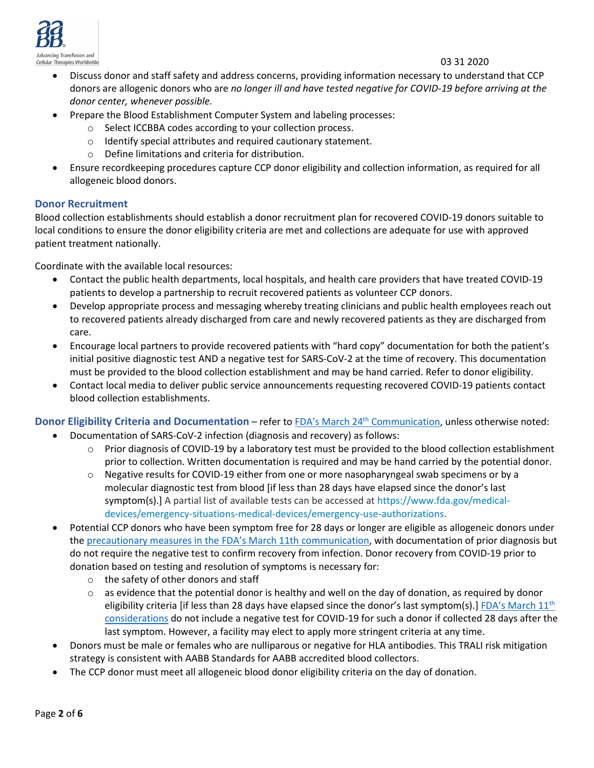

#### 03 31 2020

- Discuss donor and staff safety and address concerns, providing information necessary to understand that CCP donors are allogenic donors who are *no longer ill and have tested negative for COVID-19 before arriving at the donor center, whenever possible.*
- Prepare the Blood Establishment Computer System and labeling processes:
	- o Select ICCBBA codes according to your collection process.
	- o Identify special attributes and required cautionary statement.
	- o Define limitations and criteria for distribution.
- Ensure recordkeeping procedures capture CCP donor eligibility and collection information, as required for all allogeneic blood donors.

### **Donor Recruitment**

Blood collection establishments should establish a donor recruitment plan for recovered COVID-19 donors suitable to local conditions to ensure the donor eligibility criteria are met and collections are adequate for use with approved patient treatment nationally.

Coordinate with the available local resources:

- Contact the public health departments, local hospitals, and health care providers that have treated COVID-19 patients to develop a partnership to recruit recovered patients as volunteer CCP donors.
- Develop appropriate process and messaging whereby treating clinicians and public health employees reach out to recovered patients already discharged from care and newly recovered patients as they are discharged from care.
- Encourage local partners to provide recovered patients with "hard copy" documentation for both the patient's initial positive diagnostic test AND a negative test for SARS-CoV-2 at the time of recovery. This documentation must be provided to the blood collection establishment and may be hand carried. Refer to donor eligibility.
- Contact local media to deliver public service announcements requesting recovered COVID-19 patients contact blood collection establishments.

## **Donor Eligibility Criteria and Documentation** – refer to FDA's March 24th [Communication,](https://www.fda.gov/vaccines-blood-biologics/investigational-new-drug-ind-or-device-exemption-ide-process-cber/investigational-covid-19-convalescent-plasma-emergency-inds) unless otherwise noted:

- Documentation of SARS-CoV-2 infection (diagnosis and recovery) as follows:
	- $\circ$  Prior diagnosis of COVID-19 by a laboratory test must be provided to the blood collection establishment prior to collection. Written documentation is required and may be hand carried by the potential donor.
	- o Negative results for COVID-19 either from one or more nasopharyngeal swab specimens or by a molecular diagnostic test from blood [if less than 28 days have elapsed since the donor's last symptom(s).] A partial list of available tests can be accessed at [https://www.fda.gov/medical](https://www.fda.gov/medical-devices/emergency-situations-medical-devices/emergency-use-authorizations)[devices/emergency-situations-medical-devices/emergency-use-authorizations.](https://www.fda.gov/medical-devices/emergency-situations-medical-devices/emergency-use-authorizations)
- Potential CCP donors who have been symptom free for 28 days or longer are eligible as allogeneic donors under th[e precautionary measures in the](https://www.fda.gov/vaccines-blood-biologics/safety-availability-biologics/updated-information-blood-establishments-regarding-novel-coronavirus-outbreak) FDA's March 11th communication, with documentation of prior diagnosis but do not require the negative test to confirm recovery from infection. Donor recovery from COVID-19 prior to donation based on testing and resolution of symptoms is necessary for:
	- o the safety of other donors and staff
	- $\circ$  as evidence that the potential donor is healthy and well on the day of donation, as required by donor eligibility criteria [if less than 28 days have elapsed since the donor's last symptom(s).] [FDA's March 11](https://www.fda.gov/vaccines-blood-biologics/safety-availability-biologics/updated-information-blood-establishments-regarding-novel-coronavirus-outbreak)<sup>th</sup> [considerations](https://www.fda.gov/vaccines-blood-biologics/safety-availability-biologics/updated-information-blood-establishments-regarding-novel-coronavirus-outbreak) do not include a negative test for COVID-19 for such a donor if collected 28 days after the last symptom. However, a facility may elect to apply more stringent criteria at any time.
- Donors must be male or females who are nulliparous or negative for HLA antibodies. This TRALI risk mitigation strategy is consistent with AABB Standards for AABB accredited blood collectors.
- The CCP donor must meet all allogeneic blood donor eligibility criteria on the day of donation.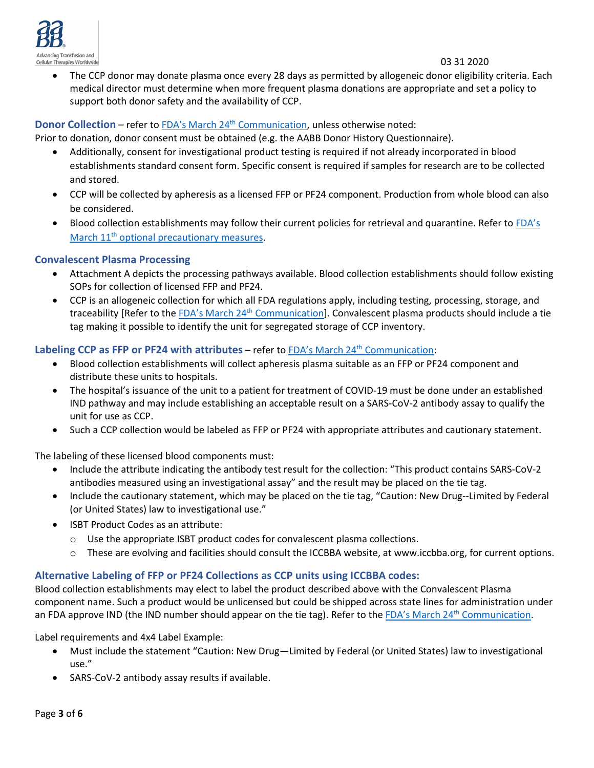

• The CCP donor may donate plasma once every 28 days as permitted by allogeneic donor eligibility criteria. Each medical director must determine when more frequent plasma donations are appropriate and set a policy to support both donor safety and the availability of CCP.

#### **Donor Collection** – refer to FDA's March 24<sup>th</sup> [Communication,](https://www.fda.gov/vaccines-blood-biologics/investigational-new-drug-ind-or-device-exemption-ide-process-cber/investigational-covid-19-convalescent-plasma-emergency-inds) unless otherwise noted:

Prior to donation, donor consent must be obtained (e.g. the AABB Donor History Questionnaire).

- Additionally, consent for investigational product testing is required if not already incorporated in blood establishments standard consent form. Specific consent is required if samples for research are to be collected and stored.
- CCP will be collected by apheresis as a licensed FFP or PF24 component. Production from whole blood can also be considered.
- Blood collection establishments may follow their current policies for retrieval and quarantine. Refer to [FDA's](https://www.fda.gov/vaccines-blood-biologics/safety-availability-biologics/updated-information-blood-establishments-regarding-novel-coronavirus-outbreak) March 11<sup>th</sup> [optional precautionary measures.](https://www.fda.gov/vaccines-blood-biologics/safety-availability-biologics/updated-information-blood-establishments-regarding-novel-coronavirus-outbreak)

#### **Convalescent Plasma Processing**

- Attachment A depicts the processing pathways available. Blood collection establishments should follow existing SOPs for collection of licensed FFP and PF24.
- CCP is an allogeneic collection for which all FDA regulations apply, including testing, processing, storage, and traceability [Refer to the FDA's March 24<sup>th</sup> [Communication\]](https://www.fda.gov/vaccines-blood-biologics/investigational-new-drug-ind-or-device-exemption-ide-process-cber/investigational-covid-19-convalescent-plasma-emergency-inds). Convalescent plasma products should include a tie tag making it possible to identify the unit for segregated storage of CCP inventory.

#### **Labeling CCP as FFP or PF24 with attributes** – refer to FDA's March 24<sup>th</sup> [Communication:](https://www.fda.gov/vaccines-blood-biologics/investigational-new-drug-ind-or-device-exemption-ide-process-cber/investigational-covid-19-convalescent-plasma-emergency-inds)

- Blood collection establishments will collect apheresis plasma suitable as an FFP or PF24 component and distribute these units to hospitals.
- The hospital's issuance of the unit to a patient for treatment of COVID-19 must be done under an established IND pathway and may include establishing an acceptable result on a SARS-CoV-2 antibody assay to qualify the unit for use as CCP.
- Such a CCP collection would be labeled as FFP or PF24 with appropriate attributes and cautionary statement.

The labeling of these licensed blood components must:

- Include the attribute indicating the antibody test result for the collection: "This product contains SARS-CoV-2 antibodies measured using an investigational assay" and the result may be placed on the tie tag.
- Include the cautionary statement, which may be placed on the tie tag, "Caution: New Drug--Limited by Federal (or United States) law to investigational use."
- ISBT Product Codes as an attribute:
	- o Use the appropriate ISBT product codes for convalescent plasma collections.
	- o These are evolving and facilities should consult the ICCBBA website, at www.iccbba.org, for current options.

### **Alternative Labeling of FFP or PF24 Collections as CCP units using ICCBBA codes:**

Blood collection establishments may elect to label the product described above with the Convalescent Plasma component name. Such a product would be unlicensed but could be shipped across state lines for administration under an FDA approve IND (the IND number should appear on the tie tag). Refer to the FDA's March 24<sup>th</sup> [Communication.](https://www.fda.gov/vaccines-blood-biologics/investigational-new-drug-ind-or-device-exemption-ide-process-cber/investigational-covid-19-convalescent-plasma-emergency-inds)

Label requirements and 4x4 Label Example:

- Must include the statement "Caution: New Drug—Limited by Federal (or United States) law to investigational use."
- SARS-CoV-2 antibody assay results if available.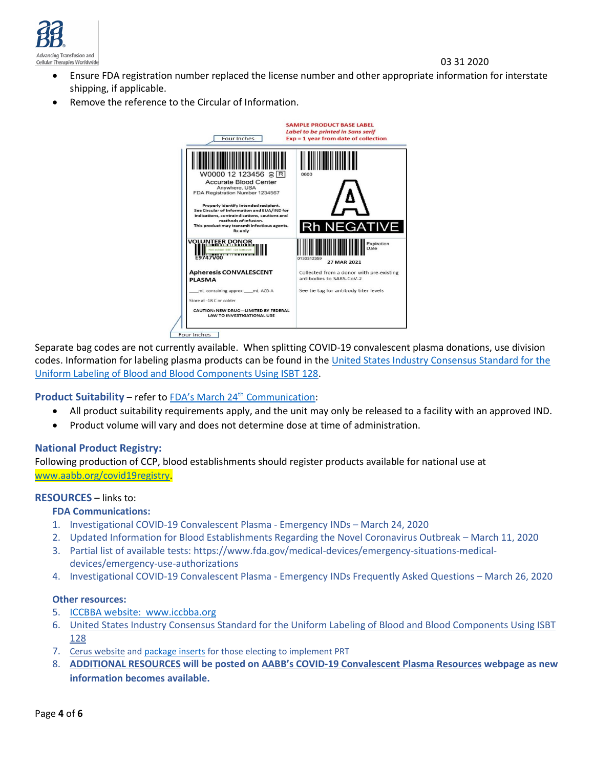

03 31 2020

- Ensure FDA registration number replaced the license number and other appropriate information for interstate shipping, if applicable.
- Remove the reference to the Circular of Information.



Separate bag codes are not currently available. When splitting COVID-19 convalescent plasma donations, use division codes. Information for labeling plasma products can be found in the [United States Industry Consensus Standard for the](https://www.fda.gov/regulatory-information/search-fda-guidance-documents/united-states-industry-consensus-standard-uniform-labeling-blood-and-blood-components-using-isbt-128)  [Uniform Labeling of Blood and Blood Components Using ISBT 128.](https://www.fda.gov/regulatory-information/search-fda-guidance-documents/united-states-industry-consensus-standard-uniform-labeling-blood-and-blood-components-using-isbt-128)

### **Product Suitability** – refer to **FDA's March 24<sup>th</sup> Communication**:

- All product suitability requirements apply, and the unit may only be released to a facility with an approved IND.
- Product volume will vary and does not determine dose at time of administration.

### **National Product Registry:**

Following production of CCP, blood establishments should register products available for national use at [www.aabb.org/covid19registry.](http://www.aabb.org/covid19registry)

#### **RESOURCES** – links to:

#### **FDA Communications:**

- 1. [Investigational COVID-19 Convalescent](https://www.fda.gov/vaccines-blood-biologics/investigational-new-drug-ind-or-device-exemption-ide-process-cber/investigational-covid-19-convalescent-plasma-emergency-inds) Plasma Emergency INDs March 24, 2020
- 2. [Updated Information for Blood Establishments Regarding the Novel Coronavirus Outbreak](https://www.fda.gov/vaccines-blood-biologics/safety-availability-biologics/updated-information-blood-establishments-regarding-novel-coronavirus-outbreak) March 11, 2020
- 3. Partial list of available tests: [https://www.fda.gov/medical-devices/emergency-situations-medical](https://www.fda.gov/medical-devices/emergency-situations-medical-devices/emergency-use-authorizations)[devices/emergency-use-authorizations](https://www.fda.gov/medical-devices/emergency-situations-medical-devices/emergency-use-authorizations)
- 4. [Investigational COVID-19 Convalescent Plasma -](https://www.fda.gov/media/136470/download) Emergency INDs Frequently Asked Questions March 26, 2020

#### **Other resources:**

- 5. ICCBBA website: www.iccbba.org
- 6. [United States Industry Consensus Standard for the Uniform Labeling of](https://www.fda.gov/regulatory-information/search-fda-guidance-documents/united-states-industry-consensus-standard-uniform-labeling-blood-and-blood-components-using-isbt-128) Blood and Blood Components Using ISBT [128](https://www.fda.gov/regulatory-information/search-fda-guidance-documents/united-states-industry-consensus-standard-uniform-labeling-blood-and-blood-components-using-isbt-128)
- 7. Cerus website and [package inserts](https://intercept-usa.com/resources/package-inserts) for those electing to implement PRT
- 8. **[ADDITIONAL RESOURCES](http://www.aabb.org/advocacy/regulatorygovernment/Documents/COVID-19-Convalescent-Plasma-Resources.pdf) will be posted on AABB's [COVID-19 Convalescent Plasma Resources](http://www.aabb.org/advocacy/regulatorygovernment/Documents/COVID-19-Convalescent-Plasma-Resources.pdf) webpage as new information becomes available.**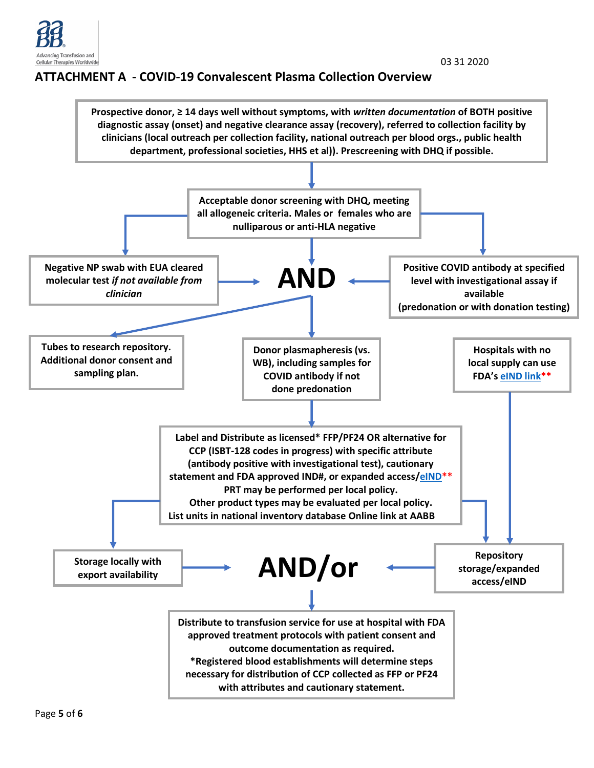

# **ATTACHMENT A - COVID-19 Convalescent Plasma Collection Overview**